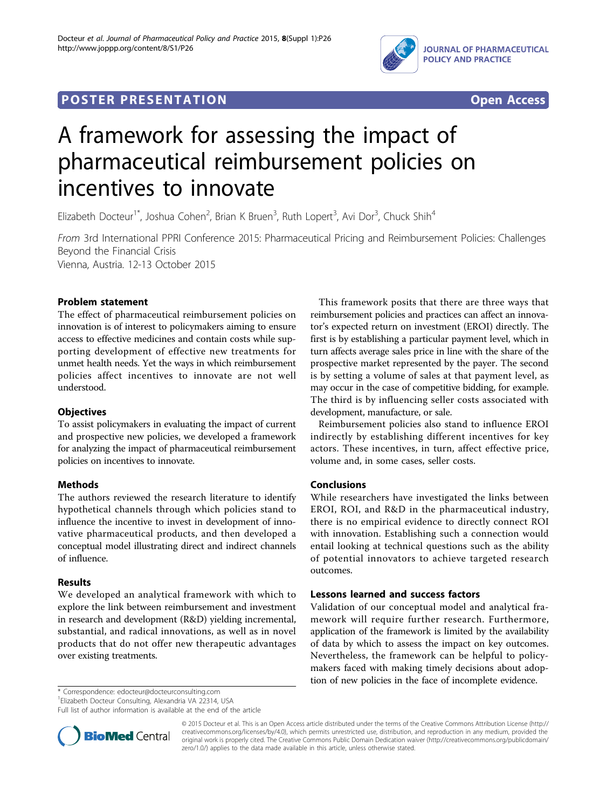

## **POSTER PRESENTATION CONSUMING THE SERVICE SERVICE SERVICES**



# A framework for assessing the impact of pharmaceutical reimbursement policies on incentives to innovate

Elizabeth Docteur<sup>1\*</sup>, Joshua Cohen<sup>2</sup>, Brian K Bruen<sup>3</sup>, Ruth Lopert<sup>3</sup>, Avi Dor<sup>3</sup>, Chuck Shih<sup>4</sup>

From 3rd International PPRI Conference 2015: Pharmaceutical Pricing and Reimbursement Policies: Challenges Beyond the Financial Crisis Vienna, Austria. 12-13 October 2015

Problem statement

The effect of pharmaceutical reimbursement policies on innovation is of interest to policymakers aiming to ensure access to effective medicines and contain costs while supporting development of effective new treatments for unmet health needs. Yet the ways in which reimbursement policies affect incentives to innovate are not well understood.

### **Objectives**

To assist policymakers in evaluating the impact of current and prospective new policies, we developed a framework for analyzing the impact of pharmaceutical reimbursement policies on incentives to innovate.

### Methods

The authors reviewed the research literature to identify hypothetical channels through which policies stand to influence the incentive to invest in development of innovative pharmaceutical products, and then developed a conceptual model illustrating direct and indirect channels of influence.

#### Results

We developed an analytical framework with which to explore the link between reimbursement and investment in research and development (R&D) yielding incremental, substantial, and radical innovations, as well as in novel products that do not offer new therapeutic advantages over existing treatments.

This framework posits that there are three ways that reimbursement policies and practices can affect an innovator's expected return on investment (EROI) directly. The first is by establishing a particular payment level, which in turn affects average sales price in line with the share of the prospective market represented by the payer. The second is by setting a volume of sales at that payment level, as may occur in the case of competitive bidding, for example. The third is by influencing seller costs associated with development, manufacture, or sale.

Reimbursement policies also stand to influence EROI indirectly by establishing different incentives for key actors. These incentives, in turn, affect effective price, volume and, in some cases, seller costs.

#### Conclusions

While researchers have investigated the links between EROI, ROI, and R&D in the pharmaceutical industry, there is no empirical evidence to directly connect ROI with innovation. Establishing such a connection would entail looking at technical questions such as the ability of potential innovators to achieve targeted research outcomes.

#### Lessons learned and success factors

Validation of our conceptual model and analytical framework will require further research. Furthermore, application of the framework is limited by the availability of data by which to assess the impact on key outcomes. Nevertheless, the framework can be helpful to policymakers faced with making timely decisions about adoption of new policies in the face of incomplete evidence.

\* Correspondence: [edocteur@docteurconsulting.com](mailto:edocteur@docteurconsulting.com)

1 Elizabeth Docteur Consulting, Alexandria VA 22314, USA

Full list of author information is available at the end of the article



© 2015 Docteur et al. This is an Open Access article distributed under the terms of the Creative Commons Attribution License [\(http://](http://creativecommons.org/licenses/by/4.0) [creativecommons.org/licenses/by/4.0](http://creativecommons.org/licenses/by/4.0)), which permits unrestricted use, distribution, and reproduction in any medium, provided the original work is properly cited. The Creative Commons Public Domain Dedication waiver ([http://creativecommons.org/publicdomain/](http://creativecommons.org/publicdomain/zero/1.0/) [zero/1.0/](http://creativecommons.org/publicdomain/zero/1.0/)) applies to the data made available in this article, unless otherwise stated.